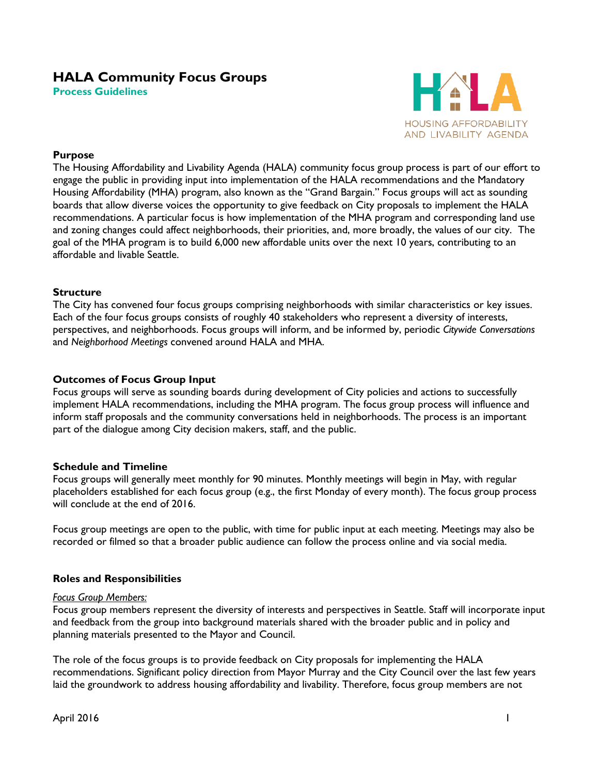# **HALA Community Focus Groups**

**Process Guidelines**



#### **Purpose**

The Housing Affordability and Livability Agenda (HALA) community focus group process is part of our effort to engage the public in providing input into implementation of the HALA recommendations and the Mandatory Housing Affordability (MHA) program, also known as the "Grand Bargain." Focus groups will act as sounding boards that allow diverse voices the opportunity to give feedback on City proposals to implement the HALA recommendations. A particular focus is how implementation of the MHA program and corresponding land use and zoning changes could affect neighborhoods, their priorities, and, more broadly, the values of our city. The goal of the MHA program is to build 6,000 new affordable units over the next 10 years, contributing to an affordable and livable Seattle.

## **Structure**

The City has convened four focus groups comprising neighborhoods with similar characteristics or key issues. Each of the four focus groups consists of roughly 40 stakeholders who represent a diversity of interests, perspectives, and neighborhoods. Focus groups will inform, and be informed by, periodic *Citywide Conversations* and *Neighborhood Meetings* convened around HALA and MHA.

## **Outcomes of Focus Group Input**

Focus groups will serve as sounding boards during development of City policies and actions to successfully implement HALA recommendations, including the MHA program. The focus group process will influence and inform staff proposals and the community conversations held in neighborhoods. The process is an important part of the dialogue among City decision makers, staff, and the public.

#### **Schedule and Timeline**

Focus groups will generally meet monthly for 90 minutes. Monthly meetings will begin in May, with regular placeholders established for each focus group (e.g., the first Monday of every month). The focus group process will conclude at the end of 2016.

Focus group meetings are open to the public, with time for public input at each meeting. Meetings may also be recorded or filmed so that a broader public audience can follow the process online and via social media.

#### **Roles and Responsibilities**

#### *Focus Group Members:*

Focus group members represent the diversity of interests and perspectives in Seattle. Staff will incorporate input and feedback from the group into background materials shared with the broader public and in policy and planning materials presented to the Mayor and Council.

The role of the focus groups is to provide feedback on City proposals for implementing the HALA recommendations. Significant policy direction from Mayor Murray and the City Council over the last few years laid the groundwork to address housing affordability and livability. Therefore, focus group members are not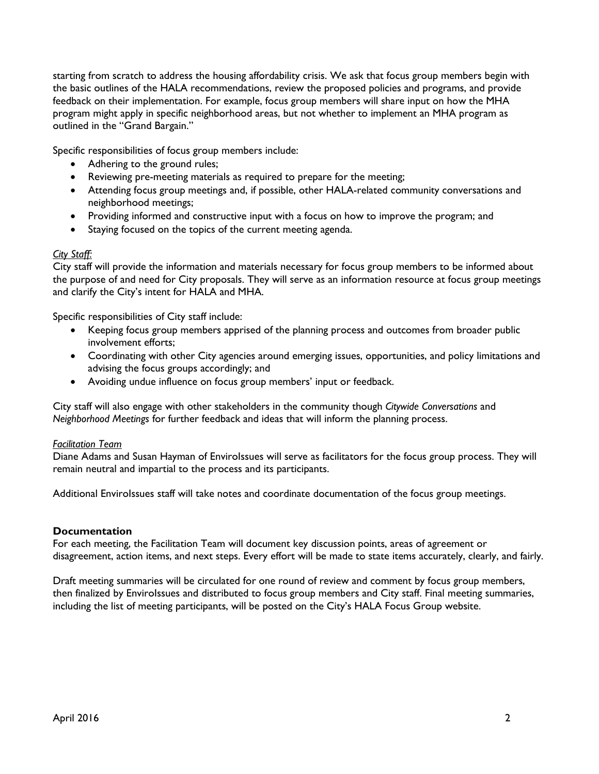starting from scratch to address the housing affordability crisis. We ask that focus group members begin with the basic outlines of the HALA recommendations, review the proposed policies and programs, and provide feedback on their implementation. For example, focus group members will share input on how the MHA program might apply in specific neighborhood areas, but not whether to implement an MHA program as outlined in the "Grand Bargain."

Specific responsibilities of focus group members include:

- Adhering to the ground rules;
- Reviewing pre-meeting materials as required to prepare for the meeting;
- Attending focus group meetings and, if possible, other HALA-related community conversations and neighborhood meetings;
- Providing informed and constructive input with a focus on how to improve the program; and
- Staying focused on the topics of the current meeting agenda.

#### *City Staff:*

City staff will provide the information and materials necessary for focus group members to be informed about the purpose of and need for City proposals. They will serve as an information resource at focus group meetings and clarify the City's intent for HALA and MHA.

Specific responsibilities of City staff include:

- Keeping focus group members apprised of the planning process and outcomes from broader public involvement efforts;
- Coordinating with other City agencies around emerging issues, opportunities, and policy limitations and advising the focus groups accordingly; and
- Avoiding undue influence on focus group members' input or feedback.

City staff will also engage with other stakeholders in the community though *Citywide Conversations* and *Neighborhood Meetings* for further feedback and ideas that will inform the planning process.

#### *Facilitation Team*

Diane Adams and Susan Hayman of EnviroIssues will serve as facilitators for the focus group process. They will remain neutral and impartial to the process and its participants.

Additional EnviroIssues staff will take notes and coordinate documentation of the focus group meetings.

#### **Documentation**

For each meeting, the Facilitation Team will document key discussion points, areas of agreement or disagreement, action items, and next steps. Every effort will be made to state items accurately, clearly, and fairly.

Draft meeting summaries will be circulated for one round of review and comment by focus group members, then finalized by EnviroIssues and distributed to focus group members and City staff. Final meeting summaries, including the list of meeting participants, will be posted on the City's HALA Focus Group website.